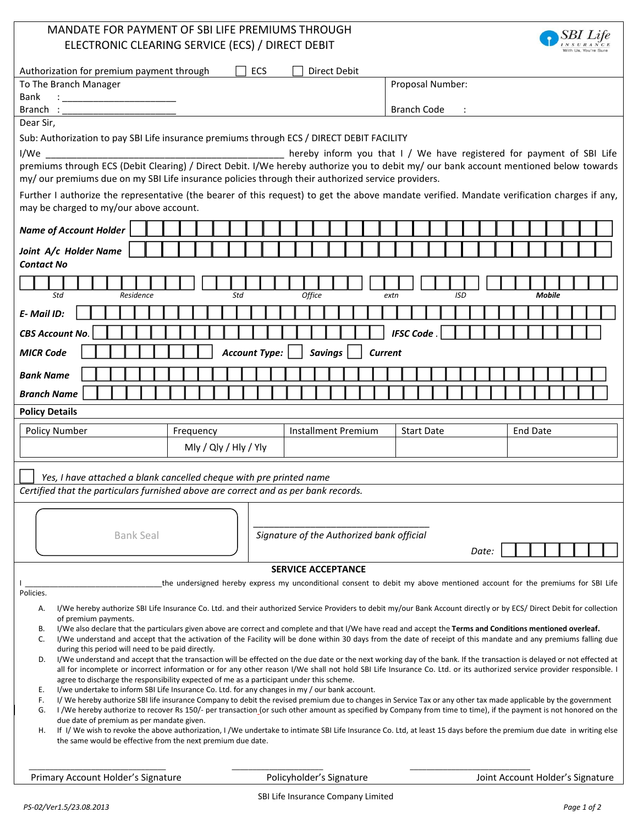| MANDATE FOR PAYMENT OF SBI LIFE PREMIUMS THROUGH                                                                                                                                                                                                      |                                           |                                                                                                                                                                                                                                                                                                                                     |  |  |  |  |
|-------------------------------------------------------------------------------------------------------------------------------------------------------------------------------------------------------------------------------------------------------|-------------------------------------------|-------------------------------------------------------------------------------------------------------------------------------------------------------------------------------------------------------------------------------------------------------------------------------------------------------------------------------------|--|--|--|--|
| ELECTRONIC CLEARING SERVICE (ECS) / DIRECT DEBIT                                                                                                                                                                                                      |                                           |                                                                                                                                                                                                                                                                                                                                     |  |  |  |  |
| Authorization for premium payment through                                                                                                                                                                                                             | ECS<br>Direct Debit                       |                                                                                                                                                                                                                                                                                                                                     |  |  |  |  |
| To The Branch Manager                                                                                                                                                                                                                                 |                                           | Proposal Number:                                                                                                                                                                                                                                                                                                                    |  |  |  |  |
| Bank<br>$\frac{1}{2}$ . The contract of the contract of the contract of the contract of the contract of the contract of the contract of the contract of the contract of the contract of the contract of the contract of the contract of t<br>Branch : |                                           | <b>Branch Code</b>                                                                                                                                                                                                                                                                                                                  |  |  |  |  |
| Dear Sir,                                                                                                                                                                                                                                             |                                           |                                                                                                                                                                                                                                                                                                                                     |  |  |  |  |
| Sub: Authorization to pay SBI Life insurance premiums through ECS / DIRECT DEBIT FACILITY                                                                                                                                                             |                                           |                                                                                                                                                                                                                                                                                                                                     |  |  |  |  |
| I/We                                                                                                                                                                                                                                                  |                                           | hereby inform you that I / We have registered for payment of SBI Life                                                                                                                                                                                                                                                               |  |  |  |  |
| premiums through ECS (Debit Clearing) / Direct Debit. I/We hereby authorize you to debit my/ our bank account mentioned below towards<br>my/ our premiums due on my SBI Life insurance policies through their authorized service providers.           |                                           |                                                                                                                                                                                                                                                                                                                                     |  |  |  |  |
| Further I authorize the representative (the bearer of this request) to get the above mandate verified. Mandate verification charges if any,<br>may be charged to my/our above account.                                                                |                                           |                                                                                                                                                                                                                                                                                                                                     |  |  |  |  |
| <b>Name of Account Holder</b>                                                                                                                                                                                                                         |                                           |                                                                                                                                                                                                                                                                                                                                     |  |  |  |  |
| Joint A/c Holder Name                                                                                                                                                                                                                                 |                                           |                                                                                                                                                                                                                                                                                                                                     |  |  |  |  |
| <b>Contact No</b>                                                                                                                                                                                                                                     |                                           |                                                                                                                                                                                                                                                                                                                                     |  |  |  |  |
|                                                                                                                                                                                                                                                       |                                           |                                                                                                                                                                                                                                                                                                                                     |  |  |  |  |
| Std<br>Residence                                                                                                                                                                                                                                      | Std<br>Office                             | <b>ISD</b><br><b>Mobile</b><br>extn                                                                                                                                                                                                                                                                                                 |  |  |  |  |
| E-Mail ID:                                                                                                                                                                                                                                            |                                           |                                                                                                                                                                                                                                                                                                                                     |  |  |  |  |
| <b>CBS Account No.</b>                                                                                                                                                                                                                                |                                           | <b>IFSC Code</b>                                                                                                                                                                                                                                                                                                                    |  |  |  |  |
| <b>MICR Code</b>                                                                                                                                                                                                                                      | <b>Account Type:</b><br><b>Savings</b>    | <b>Current</b>                                                                                                                                                                                                                                                                                                                      |  |  |  |  |
| <b>Bank Name</b>                                                                                                                                                                                                                                      |                                           |                                                                                                                                                                                                                                                                                                                                     |  |  |  |  |
| <b>Branch Name</b>                                                                                                                                                                                                                                    |                                           |                                                                                                                                                                                                                                                                                                                                     |  |  |  |  |
| <b>Policy Details</b>                                                                                                                                                                                                                                 |                                           |                                                                                                                                                                                                                                                                                                                                     |  |  |  |  |
|                                                                                                                                                                                                                                                       |                                           |                                                                                                                                                                                                                                                                                                                                     |  |  |  |  |
| Policy Number<br>Frequency                                                                                                                                                                                                                            | <b>Installment Premium</b>                | <b>Start Date</b><br><b>End Date</b>                                                                                                                                                                                                                                                                                                |  |  |  |  |
| Mly / Qly / Hly / Yly                                                                                                                                                                                                                                 |                                           |                                                                                                                                                                                                                                                                                                                                     |  |  |  |  |
|                                                                                                                                                                                                                                                       |                                           |                                                                                                                                                                                                                                                                                                                                     |  |  |  |  |
| Yes, I have attached a blank cancelled cheque with pre printed name<br>Certified that the particulars furnished above are correct and as per bank records.                                                                                            |                                           |                                                                                                                                                                                                                                                                                                                                     |  |  |  |  |
|                                                                                                                                                                                                                                                       |                                           |                                                                                                                                                                                                                                                                                                                                     |  |  |  |  |
|                                                                                                                                                                                                                                                       |                                           |                                                                                                                                                                                                                                                                                                                                     |  |  |  |  |
| <b>Bank Seal</b>                                                                                                                                                                                                                                      | Signature of the Authorized bank official |                                                                                                                                                                                                                                                                                                                                     |  |  |  |  |
|                                                                                                                                                                                                                                                       |                                           | Date:                                                                                                                                                                                                                                                                                                                               |  |  |  |  |
|                                                                                                                                                                                                                                                       | <b>SERVICE ACCEPTANCE</b>                 |                                                                                                                                                                                                                                                                                                                                     |  |  |  |  |
| Policies.                                                                                                                                                                                                                                             |                                           | the undersigned hereby express my unconditional consent to debit my above mentioned account for the premiums for SBI Life                                                                                                                                                                                                           |  |  |  |  |
| А.                                                                                                                                                                                                                                                    |                                           | I/We hereby authorize SBI Life Insurance Co. Ltd. and their authorized Service Providers to debit my/our Bank Account directly or by ECS/ Direct Debit for collection                                                                                                                                                               |  |  |  |  |
| of premium payments.<br>В.                                                                                                                                                                                                                            |                                           | I/We also declare that the particulars given above are correct and complete and that I/We have read and accept the Terms and Conditions mentioned overleaf.                                                                                                                                                                         |  |  |  |  |
| C.                                                                                                                                                                                                                                                    |                                           | I/We understand and accept that the activation of the Facility will be done within 30 days from the date of receipt of this mandate and any premiums falling due                                                                                                                                                                    |  |  |  |  |
| during this period will need to be paid directly.<br>D.                                                                                                                                                                                               |                                           | I/We understand and accept that the transaction will be effected on the due date or the next working day of the bank. If the transaction is delayed or not effected at                                                                                                                                                              |  |  |  |  |
|                                                                                                                                                                                                                                                       |                                           | all for incomplete or incorrect information or for any other reason I/We shall not hold SBI Life Insurance Co. Ltd. or its authorized service provider responsible. I                                                                                                                                                               |  |  |  |  |
| agree to discharge the responsibility expected of me as a participant under this scheme.<br>I/we undertake to inform SBI Life Insurance Co. Ltd. for any changes in my / our bank account.<br>Е.                                                      |                                           |                                                                                                                                                                                                                                                                                                                                     |  |  |  |  |
| F.<br>G.                                                                                                                                                                                                                                              |                                           | I/We hereby authorize SBI life insurance Company to debit the revised premium due to changes in Service Tax or any other tax made applicable by the government<br>I /We hereby authorize to recover Rs 150/- per transaction (or such other amount as specified by Company from time to time), if the payment is not honored on the |  |  |  |  |
| due date of premium as per mandate given.<br>Н.                                                                                                                                                                                                       |                                           | If I/We wish to revoke the above authorization, I/We undertake to intimate SBI Life Insurance Co. Ltd, at least 15 days before the premium due date in writing else                                                                                                                                                                 |  |  |  |  |
| the same would be effective from the next premium due date.                                                                                                                                                                                           |                                           |                                                                                                                                                                                                                                                                                                                                     |  |  |  |  |
| Primary Account Holder's Signature                                                                                                                                                                                                                    | Policyholder's Signature                  | Joint Account Holder's Signature                                                                                                                                                                                                                                                                                                    |  |  |  |  |